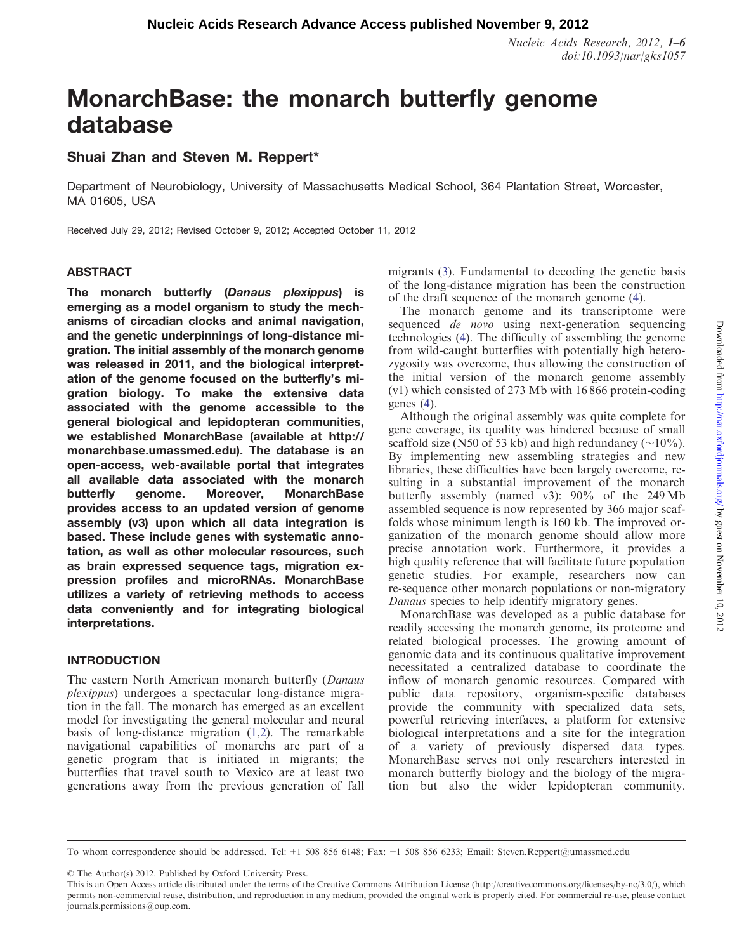Nucleic Acids Research, 2012, 1–6 doi:10.1093/nar/gks1057

# MonarchBase: the monarch butterfly genome database

# Shuai Zhan and Steven M. Reppert\*

Department of Neurobiology, University of Massachusetts Medical School, 364 Plantation Street, Worcester, MA 01605, USA

Received July 29, 2012; Revised October 9, 2012; Accepted October 11, 2012

# **ABSTRACT**

The monarch butterfly (Danaus plexippus) is emerging as a model organism to study the mechanisms of circadian clocks and animal navigation, and the genetic underpinnings of long-distance migration. The initial assembly of the monarch genome was released in 2011, and the biological interpretation of the genome focused on the butterfly's migration biology. To make the extensive data associated with the genome accessible to the general biological and lepidopteran communities, we established MonarchBase (available at [http://](http://monarchbase.umassmed.edu) [monarchbase.umassmed.edu\)](http://monarchbase.umassmed.edu). The database is an open-access, web-available portal that integrates all available data associated with the monarch butterfly genome. Moreover, MonarchBase provides access to an updated version of genome assembly (v3) upon which all data integration is based. These include genes with systematic annotation, as well as other molecular resources, such as brain expressed sequence tags, migration expression profiles and microRNAs. MonarchBase utilizes a variety of retrieving methods to access data conveniently and for integrating biological interpretations.

# INTRODUCTION

The eastern North American monarch butterfly (Danaus plexippus) undergoes a spectacular long-distance migration in the fall. The monarch has emerged as an excellent model for investigating the general molecular and neural basis of long-distance migration ([1,2](#page-4-0)). The remarkable navigational capabilities of monarchs are part of a genetic program that is initiated in migrants; the butterflies that travel south to Mexico are at least two generations away from the previous generation of fall migrants [\(3](#page-4-0)). Fundamental to decoding the genetic basis of the long-distance migration has been the construction of the draft sequence of the monarch genome [\(4](#page-4-0)).

The monarch genome and its transcriptome were sequenced *de novo* using next-generation sequencing technologies [\(4](#page-4-0)). The difficulty of assembling the genome from wild-caught butterflies with potentially high heterozygosity was overcome, thus allowing the construction of the initial version of the monarch genome assembly (v1) which consisted of 273 Mb with 16 866 protein-coding genes [\(4](#page-4-0)).

Although the original assembly was quite complete for gene coverage, its quality was hindered because of small scaffold size (N50 of 53 kb) and high redundancy ( $\sim$ 10%). By implementing new assembling strategies and new libraries, these difficulties have been largely overcome, resulting in a substantial improvement of the monarch butterfly assembly (named v3): 90% of the 249 Mb assembled sequence is now represented by 366 major scaffolds whose minimum length is 160 kb. The improved organization of the monarch genome should allow more precise annotation work. Furthermore, it provides a high quality reference that will facilitate future population genetic studies. For example, researchers now can re-sequence other monarch populations or non-migratory Danaus species to help identify migratory genes.

MonarchBase was developed as a public database for readily accessing the monarch genome, its proteome and related biological processes. The growing amount of genomic data and its continuous qualitative improvement necessitated a centralized database to coordinate the inflow of monarch genomic resources. Compared with public data repository, organism-specific databases provide the community with specialized data sets, powerful retrieving interfaces, a platform for extensive biological interpretations and a site for the integration of a variety of previously dispersed data types. MonarchBase serves not only researchers interested in monarch butterfly biology and the biology of the migration but also the wider lepidopteran community.

© The Author(s) 2012. Published by Oxford University Press.

To whom correspondence should be addressed. Tel: +1 508 856 6148; Fax: +1 508 856 6233; Email: Steven.Reppert@umassmed.edu

This is an Open Access article distributed under the terms of the Creative Commons Attribution License (http://creativecommons.org/licenses/by-nc/3.0/), which permits non-commercial reuse, distribution, and reproduction in any medium, provided the original work is properly cited. For commercial re-use, please contact journals.permissions@oup.com.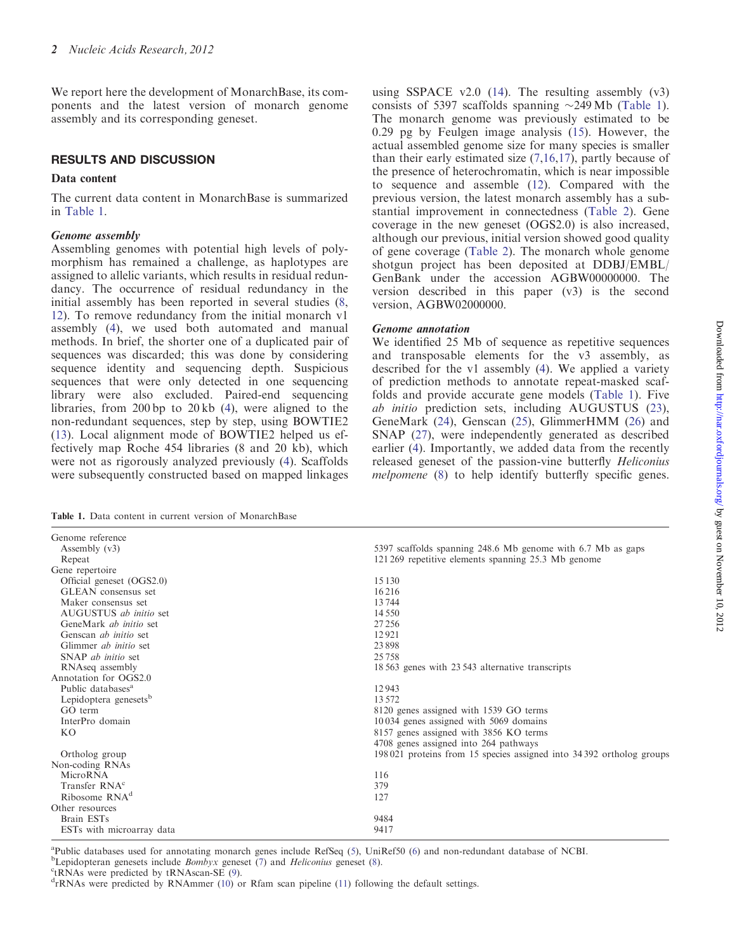<span id="page-1-0"></span>We report here the development of MonarchBase, its components and the latest version of monarch genome assembly and its corresponding geneset.

# RESULTS AND DISCUSSION

#### Data content

The current data content in MonarchBase is summarized in Table 1.

#### Genome assembly

Genome reference<br>Assembly (v3)

Gene repertoire

Maker consensus set

Genscan ab initio set

Assembling genomes with potential high levels of polymorphism has remained a challenge, as haplotypes are assigned to allelic variants, which results in residual redundancy. The occurrence of residual redundancy in the initial assembly has been reported in several studies ([8,](#page-4-0) [12](#page-4-0)). To remove redundancy from the initial monarch v1 assembly [\(4](#page-4-0)), we used both automated and manual methods. In brief, the shorter one of a duplicated pair of sequences was discarded; this was done by considering sequence identity and sequencing depth. Suspicious sequences that were only detected in one sequencing library were also excluded. Paired-end sequencing libraries, from 200 bp to 20 kb ([4\)](#page-4-0), were aligned to the non-redundant sequences, step by step, using BOWTIE2 ([13\)](#page-4-0). Local alignment mode of BOWTIE2 helped us effectively map Roche 454 libraries (8 and 20 kb), which were not as rigorously analyzed previously ([4\)](#page-4-0). Scaffolds were subsequently constructed based on mapped linkages

using SSPACE  $v2.0$  ([14\)](#page-4-0). The resulting assembly  $(v3)$ consists of 5397 scaffolds spanning  $\sim$ 249 Mb (Table 1). The monarch genome was previously estimated to be 0.29 pg by Feulgen image analysis ([15\)](#page-4-0). However, the actual assembled genome size for many species is smaller than their early estimated size ([7,16,17](#page-4-0)), partly because of the presence of heterochromatin, which is near impossible to sequence and assemble ([12\)](#page-4-0). Compared with the previous version, the latest monarch assembly has a substantial improvement in connectedness ([Table 2](#page-2-0)). Gene coverage in the new geneset (OGS2.0) is also increased, although our previous, initial version showed good quality of gene coverage ([Table 2\)](#page-2-0). The monarch whole genome shotgun project has been deposited at DDBJ/EMBL/ GenBank under the accession AGBW00000000. The version described in this paper (v3) is the second version, AGBW02000000.

#### Genome annotation

We identified 25 Mb of sequence as repetitive sequences and transposable elements for the v3 assembly, as described for the v1 assembly ([4\)](#page-4-0). We applied a variety of prediction methods to annotate repeat-masked scaffolds and provide accurate gene models (Table 1). Five ab initio prediction sets, including AUGUSTUS ([23](#page-4-0)), GeneMark ([24\)](#page-4-0), Genscan ([25\)](#page-4-0), GlimmerHMM ([26\)](#page-4-0) and SNAP [\(27](#page-4-0)), were independently generated as described earlier [\(4](#page-4-0)). Importantly, we added data from the recently released geneset of the passion-vine butterfly Heliconius melpomene [\(8](#page-4-0)) to help identify butterfly specific genes.

5397 scaffolds spanning 248.6 Mb genome with 6.7 Mb as gaps

Table 1. Data content in current version of MonarchBase

Official geneset (OGS2.0) 15 130 GLEAN consensus set 16 216<br>Maker consensus set 13 744

AUGUSTUS *ab initio* set 14 550<br>GeneMark *ab initio* set 27 256 GeneMark *ab initio* set 27 256<br>Genscan *ab initio* set 29.1

Glimmer *ab initio* set 23 898<br>SNAP *ab initio* set 25 758 SNAP *ab initio* set<br>RNAseq assembly 18 563 genes with 23 543 alternative transcripts Annotation for OGS2.0 Public databases<sup>a</sup> 12 943 Lepidoptera genesets $\frac{13\,572}{13\,572}$ GO term<br>InterPro domain<br>10034 genes assigned with 1539 GO terms<br>10034 genes assigned with 5069 domains  $10034$  genes assigned with 5069 domains KO 8157 genes assigned with 3856 KO terms 4708 genes assigned into 264 pathways Ortholog group 198 021 proteins from 15 species assigned into 34 392 ortholog groups Non-coding RNAs MicroRNA 116<br>Transfer RNA<sup>c</sup> 379 Transfer RNA<sup>c</sup> 379<br>Ribosome RNA<sup>d</sup> 127 Ribosome RNA<sup>d</sup> Other resources Brain ESTs 9484<br>ESTs with microarray data 9417

Repeat 121 269 repetitive elements spanning 25.3 Mb genome

<sup>a</sup>Public databases used for annotating monarch genes include RefSeq ([5\)](#page-4-0), UniRef50 ([6\)](#page-4-0) and non-redundant database of NCBI.

<sup>b</sup>Lepidopteran genesets include *Bombyx* geneset [\(7](#page-4-0)) and *Heliconius* geneset [\(8](#page-4-0)).

 $c$ <sub>tRNAs</sub> were predicted by tRNAscan-SE ([9\)](#page-4-0).

ESTs with microarray data

 $<sup>d</sup>$ rRNAs were predicted by RNAmmer ([10\)](#page-4-0) or Rfam scan pipeline [\(11](#page-4-0)) following the default settings.</sup>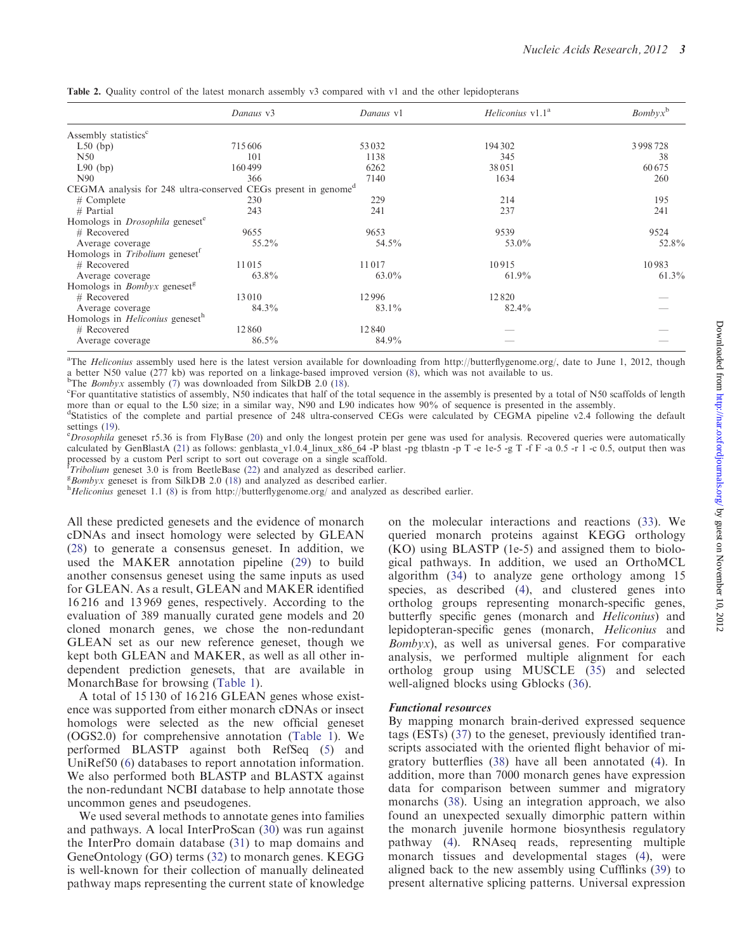|                                                                            | Danaus v3 | Danaus v1 | <i>Heliconius</i> v1.1 <sup>a</sup> | $Bombyx^b$ |
|----------------------------------------------------------------------------|-----------|-----------|-------------------------------------|------------|
| Assembly statistics <sup>c</sup>                                           |           |           |                                     |            |
| $L50$ (bp)                                                                 | 715606    | 53 0 32   | 194 302                             | 3998728    |
| N50                                                                        | 101       | 1138      | 345                                 | 38         |
| $L90$ (bp)                                                                 | 160499    | 6262      | 38051                               | 60 675     |
| N <sub>90</sub>                                                            | 366       | 7140      | 1634                                | 260        |
| CEGMA analysis for 248 ultra-conserved CEGs present in genome <sup>d</sup> |           |           |                                     |            |
| $#$ Complete                                                               | 230       | 229       | 214                                 | 195        |
| $#$ Partial                                                                | 243       | 241       | 237                                 | 241        |
| Homologs in <i>Drosophila</i> geneset <sup>e</sup>                         |           |           |                                     |            |
| $#$ Recovered                                                              | 9655      | 9653      | 9539                                | 9524       |
| Average coverage                                                           | 55.2%     | 54.5%     | 53.0%                               | 52.8%      |
| Homologs in Tribolium geneset <sup>1</sup>                                 |           |           |                                     |            |
| $#$ Recovered                                                              | 11015     | 11017     | 10915                               | 10983      |
| Average coverage                                                           | 63.8%     | $63.0\%$  | $61.9\%$                            | 61.3%      |
| Homologs in <i>Bombyx</i> geneset <sup>g</sup>                             |           |           |                                     |            |
| $#$ Recovered                                                              | 13010     | 12996     | 12820                               |            |
| Average coverage                                                           | 84.3%     | 83.1%     | 82.4%                               |            |
| Homologs in <i>Heliconius</i> geneset <sup>h</sup>                         |           |           |                                     |            |
| $#$ Recovered                                                              | 12860     | 12840     |                                     |            |
| Average coverage                                                           | 86.5%     | 84.9%     |                                     |            |

<span id="page-2-0"></span>Table 2. Quality control of the latest monarch assembly v3 compared with v1 and the other lepidopterans

<sup>a</sup>The *Heliconius* assembly used here is the latest version available for downloading from [http://butterflygenome.org/,](http://butterflygenome.org/) date to June 1, 2012, though a better N50 value (277 kb) was reported on a linkage-based improved version [\(8](#page-4-0)), which was not available to us.<br><sup>b</sup>The *Bombux assembly (7) was downloaded from SilkDB 2.0 (18)* 

<sup>b</sup>The *Bombyx* assembly [\(7](#page-4-0)) was downloaded from SilkDB 2.0 ([18\)](#page-4-0).

For quantitative statistics of assembly, N50 indicates that half of the total sequence in the assembly is presented by a total of N50 scaffolds of length more than or equal to the L50 size; in a similar way, N90 and L90 indicates how 90% of sequence is presented in the assembly.

d Statistics of the complete and partial presence of 248 ultra-conserved CEGs were calculated by CEGMA pipeline v2.4 following the default settings [\(19](#page-4-0)).

 $^{\circ}$ *Drosophila* geneset r5.36 is from FlyBase ([20\)](#page-4-0) and only the longest protein per gene was used for analysis. Recovered queries were automatically calculated by GenBlastA ([21\)](#page-4-0) as follows: genblasta\_v1.0.4\_linux\_x86\_64 -P blast -pg tblastn -p T -e 1e-5 -g T -f F -a 0.5 -r 1 -c 0.5, output then was processed by a custom Perl script to sort out coverage on a single scaffold.<br> *Tribolium* geneset 3.0 is from BeetleBase ([22\)](#page-4-0) and analyzed as described earlier.<br>
ERombux geneset is from SilkDB 2.0.(18) and analyzed as desc

 $B_{\text{B}}$  Bombyx geneset is from SilkDB 2.0 ([18\)](#page-4-0) and analyzed as described earlier.

 $h$ Heliconius geneset 1.1 [\(8](#page-4-0)) is from<http://butterflygenome.org/> and analyzed as described earlier.

All these predicted genesets and the evidence of monarch cDNAs and insect homology were selected by GLEAN [\(28](#page-4-0)) to generate a consensus geneset. In addition, we used the MAKER annotation pipeline [\(29](#page-4-0)) to build another consensus geneset using the same inputs as used for GLEAN. As a result, GLEAN and MAKER identified 16 216 and 13 969 genes, respectively. According to the evaluation of 389 manually curated gene models and 20 cloned monarch genes, we chose the non-redundant GLEAN set as our new reference geneset, though we kept both GLEAN and MAKER, as well as all other independent prediction genesets, that are available in MonarchBase for browsing [\(Table 1\)](#page-1-0).

A total of 15 130 of 16 216 GLEAN genes whose existence was supported from either monarch cDNAs or insect homologs were selected as the new official geneset (OGS2.0) for comprehensive annotation [\(Table 1](#page-1-0)). We performed BLASTP against both RefSeq [\(5](#page-4-0)) and UniRef50 ([6\)](#page-4-0) databases to report annotation information. We also performed both BLASTP and BLASTX against the non-redundant NCBI database to help annotate those uncommon genes and pseudogenes.

We used several methods to annotate genes into families and pathways. A local InterProScan ([30\)](#page-4-0) was run against the InterPro domain database [\(31](#page-4-0)) to map domains and GeneOntology (GO) terms ([32](#page-4-0)) to monarch genes. KEGG is well-known for their collection of manually delineated pathway maps representing the current state of knowledge

on the molecular interactions and reactions ([33\)](#page-5-0). We queried monarch proteins against KEGG orthology (KO) using BLASTP (1e-5) and assigned them to biological pathways. In addition, we used an OrthoMCL algorithm ([34\)](#page-5-0) to analyze gene orthology among 15 species, as described ([4\)](#page-4-0), and clustered genes into ortholog groups representing monarch-specific genes, butterfly specific genes (monarch and Heliconius) and lepidopteran-specific genes (monarch, Heliconius and Bombyx), as well as universal genes. For comparative analysis, we performed multiple alignment for each ortholog group using MUSCLE [\(35](#page-5-0)) and selected well-aligned blocks using Gblocks ([36\)](#page-5-0).

#### Functional resources

By mapping monarch brain-derived expressed sequence tags (ESTs) ([37\)](#page-5-0) to the geneset, previously identified transcripts associated with the oriented flight behavior of migratory butterflies ([38\)](#page-5-0) have all been annotated [\(4](#page-4-0)). In addition, more than 7000 monarch genes have expression data for comparison between summer and migratory monarchs [\(38](#page-5-0)). Using an integration approach, we also found an unexpected sexually dimorphic pattern within the monarch juvenile hormone biosynthesis regulatory pathway ([4\)](#page-4-0). RNAseq reads, representing multiple monarch tissues and developmental stages ([4\)](#page-4-0), were aligned back to the new assembly using Cufflinks [\(39](#page-5-0)) to present alternative splicing patterns. Universal expression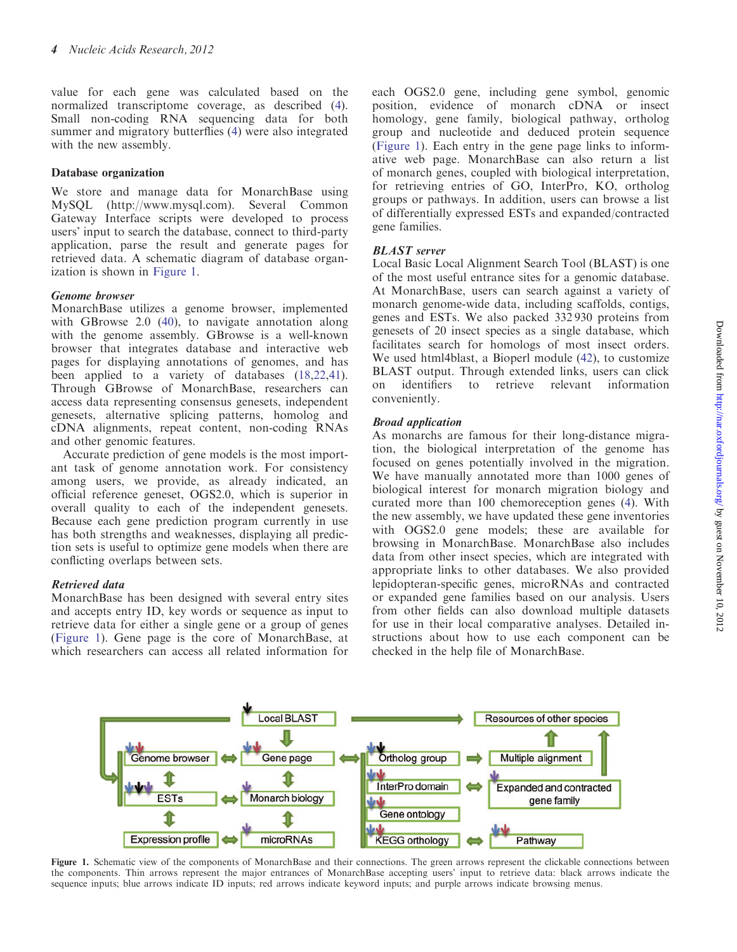value for each gene was calculated based on the normalized transcriptome coverage, as described ([4](#page-4-0)). Small non-coding RNA sequencing data for both summer and migratory butterflies [\(4](#page-4-0)) were also integrated with the new assembly.

#### Database organization

We store and manage data for MonarchBase using MySQL [\(http://www.mysql.com](http://www.mysql.com)). Several Common Gateway Interface scripts were developed to process users' input to search the database, connect to third-party application, parse the result and generate pages for retrieved data. A schematic diagram of database organization is shown in Figure 1.

# Genome browser

MonarchBase utilizes a genome browser, implemented with GBrowse 2.0 ([40\)](#page-5-0), to navigate annotation along with the genome assembly. GBrowse is a well-known browser that integrates database and interactive web pages for displaying annotations of genomes, and has been applied to a variety of databases [\(18](#page-4-0),[22,](#page-4-0)[41](#page-5-0)). Through GBrowse of MonarchBase, researchers can access data representing consensus genesets, independent genesets, alternative splicing patterns, homolog and cDNA alignments, repeat content, non-coding RNAs and other genomic features.

Accurate prediction of gene models is the most important task of genome annotation work. For consistency among users, we provide, as already indicated, an official reference geneset, OGS2.0, which is superior in overall quality to each of the independent genesets. Because each gene prediction program currently in use has both strengths and weaknesses, displaying all prediction sets is useful to optimize gene models when there are conflicting overlaps between sets.

# Retrieved data

MonarchBase has been designed with several entry sites and accepts entry ID, key words or sequence as input to retrieve data for either a single gene or a group of genes (Figure 1). Gene page is the core of MonarchBase, at which researchers can access all related information for each OGS2.0 gene, including gene symbol, genomic position, evidence of monarch cDNA or insect homology, gene family, biological pathway, ortholog group and nucleotide and deduced protein sequence (Figure 1). Each entry in the gene page links to informative web page. MonarchBase can also return a list of monarch genes, coupled with biological interpretation, for retrieving entries of GO, InterPro, KO, ortholog groups or pathways. In addition, users can browse a list of differentially expressed ESTs and expanded/contracted gene families.

# BLAST server

Local Basic Local Alignment Search Tool (BLAST) is one of the most useful entrance sites for a genomic database. At MonarchBase, users can search against a variety of monarch genome-wide data, including scaffolds, contigs, genes and ESTs. We also packed 332 930 proteins from genesets of 20 insect species as a single database, which facilitates search for homologs of most insect orders. We used html4blast, a Bioperl module ([42\)](#page-5-0), to customize BLAST output. Through extended links, users can click on identifiers to retrieve relevant information conveniently.

# Broad application

As monarchs are famous for their long-distance migration, the biological interpretation of the genome has focused on genes potentially involved in the migration. We have manually annotated more than 1000 genes of biological interest for monarch migration biology and curated more than 100 chemoreception genes [\(4](#page-4-0)). With the new assembly, we have updated these gene inventories with OGS2.0 gene models; these are available for browsing in MonarchBase. MonarchBase also includes data from other insect species, which are integrated with appropriate links to other databases. We also provided lepidopteran-specific genes, microRNAs and contracted or expanded gene families based on our analysis. Users from other fields can also download multiple datasets for use in their local comparative analyses. Detailed instructions about how to use each component can be checked in the help file of MonarchBase.



Figure 1. Schematic view of the components of MonarchBase and their connections. The green arrows represent the clickable connections between the components. Thin arrows represent the major entrances of MonarchBase accepting users' input to retrieve data: black arrows indicate the sequence inputs; blue arrows indicate ID inputs; red arrows indicate keyword inputs; and purple arrows indicate browsing menus.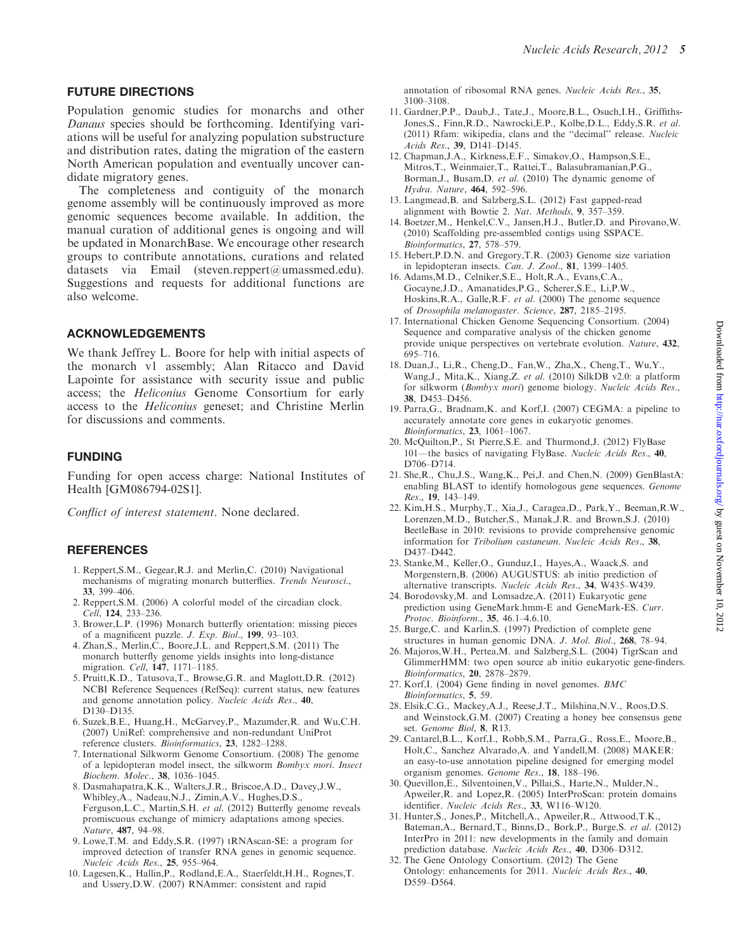#### <span id="page-4-0"></span>FUTURE DIRECTIONS

Population genomic studies for monarchs and other Danaus species should be forthcoming. Identifying variations will be useful for analyzing population substructure and distribution rates, dating the migration of the eastern North American population and eventually uncover candidate migratory genes.

The completeness and contiguity of the monarch genome assembly will be continuously improved as more genomic sequences become available. In addition, the manual curation of additional genes is ongoing and will be updated in MonarchBase. We encourage other research groups to contribute annotations, curations and related datasets via Email (steven.reppert@umassmed.edu). Suggestions and requests for additional functions are also welcome.

# ACKNOWLEDGEMENTS

We thank Jeffrey L. Boore for help with initial aspects of the monarch v1 assembly; Alan Ritacco and David Lapointe for assistance with security issue and public access; the Heliconius Genome Consortium for early access to the Heliconius geneset; and Christine Merlin for discussions and comments.

#### FUNDING

Funding for open access charge: National Institutes of Health [GM086794-02S1].

Conflict of interest statement. None declared.

# **REFERENCES**

- 1. Reppert,S.M., Gegear,R.J. and Merlin,C. (2010) Navigational mechanisms of migrating monarch butterflies. Trends Neurosci., 33, 399–406.
- 2. Reppert,S.M. (2006) A colorful model of the circadian clock. Cell, 124, 233–236.
- 3. Brower,L.P. (1996) Monarch butterfly orientation: missing pieces of a magnificent puzzle. J. Exp. Biol., 199, 93–103.
- 4. Zhan,S., Merlin,C., Boore,J.L. and Reppert,S.M. (2011) The monarch butterfly genome yields insights into long-distance migration. Cell, 147, 1171–1185.
- 5. Pruitt,K.D., Tatusova,T., Browse,G.R. and Maglott,D.R. (2012) NCBI Reference Sequences (RefSeq): current status, new features and genome annotation policy. Nucleic Acids Res., 40, D130–D135.
- 6. Suzek,B.E., Huang,H., McGarvey,P., Mazumder,R. and Wu,C.H. (2007) UniRef: comprehensive and non-redundant UniProt reference clusters. Bioinformatics, 23, 1282–1288.
- 7. International Silkworm Genome Consortium. (2008) The genome of a lepidopteran model insect, the silkworm Bombyx mori. Insect Biochem. Molec., 38, 1036–1045.
- 8. Dasmahapatra,K.K., Walters,J.R., Briscoe,A.D., Davey,J.W., Whibley, A., Nadeau, N.J., Zimin, A.V., Hughes, D.S., Ferguson,L.C., Martin,S.H. et al. (2012) Butterfly genome reveals promiscuous exchange of mimicry adaptations among species. Nature, 487, 94–98.
- 9. Lowe,T.M. and Eddy,S.R. (1997) tRNAscan-SE: a program for improved detection of transfer RNA genes in genomic sequence. Nucleic Acids Res., 25, 955–964.
- 10. Lagesen,K., Hallin,P., Rodland,E.A., Staerfeldt,H.H., Rognes,T. and Ussery,D.W. (2007) RNAmmer: consistent and rapid

annotation of ribosomal RNA genes. Nucleic Acids Res., 35, 3100–3108.

- 11. Gardner,P.P., Daub,J., Tate,J., Moore,B.L., Osuch,I.H., Griffiths-Jones,S., Finn,R.D., Nawrocki,E.P., Kolbe,D.L., Eddy,S.R. et al. (2011) Rfam: wikipedia, clans and the ''decimal'' release. Nucleic Acids Res., 39, D141–D145.
- 12. Chapman,J.A., Kirkness,E.F., Simakov,O., Hampson,S.E., Mitros,T., Weinmaier,T., Rattei,T., Balasubramanian,P.G., Borman,J., Busam,D. et al. (2010) The dynamic genome of Hydra. Nature, 464, 592–596.
- 13. Langmead,B. and Salzberg,S.L. (2012) Fast gapped-read alignment with Bowtie 2. Nat. Methods, 9, 357–359.
- 14. Boetzer,M., Henkel,C.V., Jansen,H.J., Butler,D. and Pirovano,W. (2010) Scaffolding pre-assembled contigs using SSPACE. Bioinformatics, 27, 578–579.
- 15. Hebert,P.D.N. and Gregory,T.R. (2003) Genome size variation in lepidopteran insects. Can. J. Zool., 81, 1399–1405.
- 16. Adams,M.D., Celniker,S.E., Holt,R.A., Evans,C.A., Gocayne,J.D., Amanatides,P.G., Scherer,S.E., Li,P.W., Hoskins,R.A., Galle,R.F. et al. (2000) The genome sequence of Drosophila melanogaster. Science, 287, 2185–2195.
- 17. International Chicken Genome Sequencing Consortium. (2004) Sequence and comparative analysis of the chicken genome provide unique perspectives on vertebrate evolution. Nature, 432, 695–716.
- 18. Duan,J., Li,R., Cheng,D., Fan,W., Zha,X., Cheng,T., Wu,Y., Wang,J., Mita,K., Xiang,Z. et al. (2010) SilkDB v2.0: a platform for silkworm (Bombyx mori) genome biology. Nucleic Acids Res., 38, D453–D456.
- 19. Parra,G., Bradnam,K. and Korf,I. (2007) CEGMA: a pipeline to accurately annotate core genes in eukaryotic genomes. Bioinformatics, 23, 1061–1067.
- 20. McQuilton,P., St Pierre,S.E. and Thurmond,J. (2012) FlyBase 101—the basics of navigating FlyBase. Nucleic Acids Res., 40, D706–D714.
- 21. She,R., Chu,J.S., Wang,K., Pei,J. and Chen,N. (2009) GenBlastA: enabling BLAST to identify homologous gene sequences. Genome Res., 19, 143–149.
- 22. Kim,H.S., Murphy,T., Xia,J., Caragea,D., Park,Y., Beeman,R.W., Lorenzen,M.D., Butcher,S., Manak,J.R. and Brown,S.J. (2010) BeetleBase in 2010: revisions to provide comprehensive genomic information for Tribolium castaneum. Nucleic Acids Res., 38, D437–D442.
- 23. Stanke,M., Keller,O., Gunduz,I., Hayes,A., Waack,S. and Morgenstern,B. (2006) AUGUSTUS: ab initio prediction of alternative transcripts. Nucleic Acids Res., 34, W435–W439.
- 24. Borodovsky,M. and Lomsadze,A. (2011) Eukaryotic gene prediction using GeneMark.hmm-E and GeneMark-ES. Curr. Protoc. Bioinform., 35, 46.1–4.6.10.
- 25. Burge,C. and Karlin,S. (1997) Prediction of complete gene structures in human genomic DNA. J. Mol. Biol., 268, 78–94.
- 26. Majoros,W.H., Pertea,M. and Salzberg,S.L. (2004) TigrScan and GlimmerHMM: two open source ab initio eukaryotic gene-finders. Bioinformatics, 20, 2878–2879.
- 27. Korf,I. (2004) Gene finding in novel genomes. BMC Bioinformatics, 5, 59.
- 28. Elsik,C.G., Mackey,A.J., Reese,J.T., Milshina,N.V., Roos,D.S. and Weinstock,G.M. (2007) Creating a honey bee consensus gene set. Genome Biol, 8, R13.
- 29. Cantarel,B.L., Korf,I., Robb,S.M., Parra,G., Ross,E., Moore,B., Holt,C., Sanchez Alvarado,A. and Yandell,M. (2008) MAKER: an easy-to-use annotation pipeline designed for emerging model organism genomes. Genome Res., 18, 188–196.
- 30. Quevillon,E., Silventoinen,V., Pillai,S., Harte,N., Mulder,N., Apweiler,R. and Lopez,R. (2005) InterProScan: protein domains identifier. Nucleic Acids Res., 33, W116–W120.
- 31. Hunter,S., Jones,P., Mitchell,A., Apweiler,R., Attwood,T.K., Bateman,A., Bernard,T., Binns,D., Bork,P., Burge,S. et al. (2012) InterPro in 2011: new developments in the family and domain prediction database. Nucleic Acids Res., 40, D306–D312.
- 32. The Gene Ontology Consortium. (2012) The Gene Ontology: enhancements for 2011. Nucleic Acids Res., 40, D559–D564.